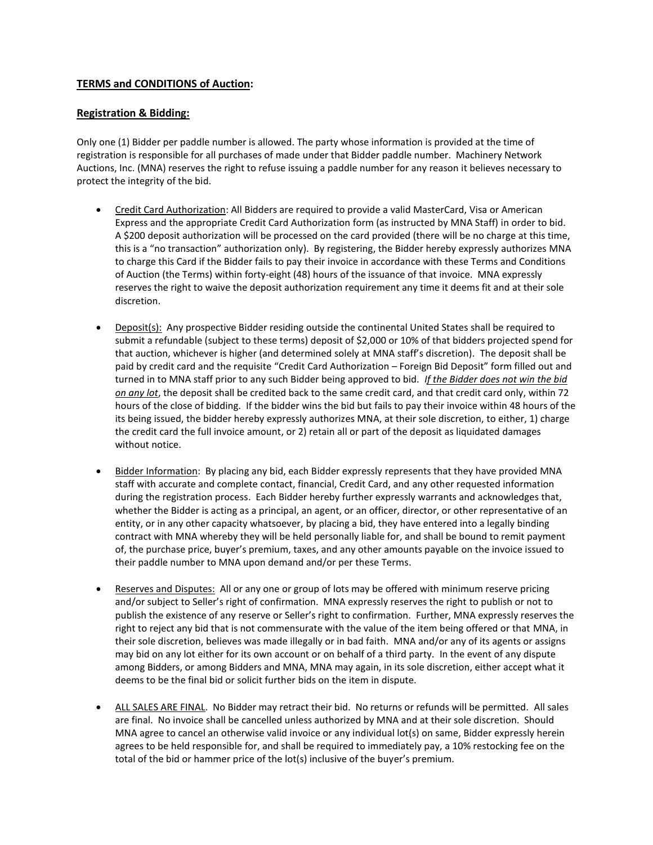# **TERMS and CONDITIONS of Auction:**

### **Registration & Bidding:**

Only one (1) Bidder per paddle number is allowed. The party whose information is provided at the time of registration is responsible for all purchases of made under that Bidder paddle number. Machinery Network Auctions, Inc. (MNA) reserves the right to refuse issuing a paddle number for any reason it believes necessary to protect the integrity of the bid.

- Credit Card Authorization: All Bidders are required to provide a valid MasterCard, Visa or American Express and the appropriate Credit Card Authorization form (as instructed by MNA Staff) in order to bid. A \$200 deposit authorization will be processed on the card provided (there will be no charge at this time, this is a "no transaction" authorization only). By registering, the Bidder hereby expressly authorizes MNA to charge this Card if the Bidder fails to pay their invoice in accordance with these Terms and Conditions of Auction (the Terms) within forty-eight (48) hours of the issuance of that invoice. MNA expressly reserves the right to waive the deposit authorization requirement any time it deems fit and at their sole discretion.
- Deposit(s): Any prospective Bidder residing outside the continental United States shall be required to submit a refundable (subject to these terms) deposit of \$2,000 or 10% of that bidders projected spend for that auction, whichever is higher (and determined solely at MNA staff's discretion). The deposit shall be paid by credit card and the requisite "Credit Card Authorization – Foreign Bid Deposit" form filled out and turned in to MNA staff prior to any such Bidder being approved to bid. *If the Bidder does not win the bid on any lot*, the deposit shall be credited back to the same credit card, and that credit card only, within 72 hours of the close of bidding. If the bidder wins the bid but fails to pay their invoice within 48 hours of the its being issued, the bidder hereby expressly authorizes MNA, at their sole discretion, to either, 1) charge the credit card the full invoice amount, or 2) retain all or part of the deposit as liquidated damages without notice.
- Bidder Information: By placing any bid, each Bidder expressly represents that they have provided MNA staff with accurate and complete contact, financial, Credit Card, and any other requested information during the registration process. Each Bidder hereby further expressly warrants and acknowledges that, whether the Bidder is acting as a principal, an agent, or an officer, director, or other representative of an entity, or in any other capacity whatsoever, by placing a bid, they have entered into a legally binding contract with MNA whereby they will be held personally liable for, and shall be bound to remit payment of, the purchase price, buyer's premium, taxes, and any other amounts payable on the invoice issued to their paddle number to MNA upon demand and/or per these Terms.
- Reserves and Disputes: All or any one or group of lots may be offered with minimum reserve pricing and/or subject to Seller's right of confirmation. MNA expressly reserves the right to publish or not to publish the existence of any reserve or Seller's right to confirmation. Further, MNA expressly reserves the right to reject any bid that is not commensurate with the value of the item being offered or that MNA, in their sole discretion, believes was made illegally or in bad faith. MNA and/or any of its agents or assigns may bid on any lot either for its own account or on behalf of a third party. In the event of any dispute among Bidders, or among Bidders and MNA, MNA may again, in its sole discretion, either accept what it deems to be the final bid or solicit further bids on the item in dispute.
- ALL SALES ARE FINAL. No Bidder may retract their bid. No returns or refunds will be permitted. All sales are final. No invoice shall be cancelled unless authorized by MNA and at their sole discretion. Should MNA agree to cancel an otherwise valid invoice or any individual lot(s) on same, Bidder expressly herein agrees to be held responsible for, and shall be required to immediately pay, a 10% restocking fee on the total of the bid or hammer price of the lot(s) inclusive of the buyer's premium.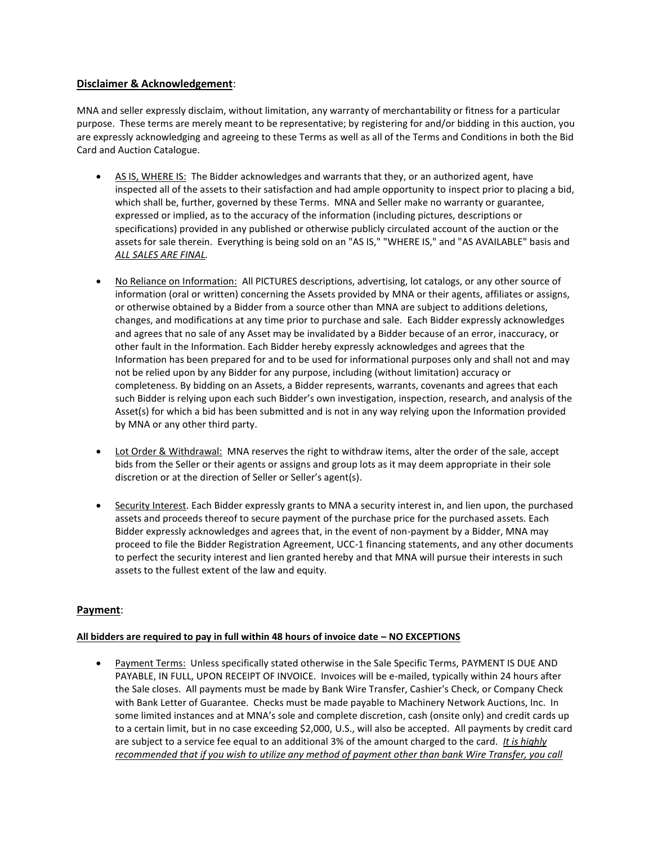## **Disclaimer & Acknowledgement**:

MNA and seller expressly disclaim, without limitation, any warranty of merchantability or fitness for a particular purpose. These terms are merely meant to be representative; by registering for and/or bidding in this auction, you are expressly acknowledging and agreeing to these Terms as well as all of the Terms and Conditions in both the Bid Card and Auction Catalogue.

- AS IS, WHERE IS: The Bidder acknowledges and warrants that they, or an authorized agent, have inspected all of the assets to their satisfaction and had ample opportunity to inspect prior to placing a bid, which shall be, further, governed by these Terms. MNA and Seller make no warranty or guarantee, expressed or implied, as to the accuracy of the information (including pictures, descriptions or specifications) provided in any published or otherwise publicly circulated account of the auction or the assets for sale therein. Everything is being sold on an "AS IS," "WHERE IS," and "AS AVAILABLE" basis and *ALL SALES ARE FINAL.*
- No Reliance on Information: All PICTURES descriptions, advertising, lot catalogs, or any other source of information (oral or written) concerning the Assets provided by MNA or their agents, affiliates or assigns, or otherwise obtained by a Bidder from a source other than MNA are subject to additions deletions, changes, and modifications at any time prior to purchase and sale. Each Bidder expressly acknowledges and agrees that no sale of any Asset may be invalidated by a Bidder because of an error, inaccuracy, or other fault in the Information. Each Bidder hereby expressly acknowledges and agrees that the Information has been prepared for and to be used for informational purposes only and shall not and may not be relied upon by any Bidder for any purpose, including (without limitation) accuracy or completeness. By bidding on an Assets, a Bidder represents, warrants, covenants and agrees that each such Bidder is relying upon each such Bidder's own investigation, inspection, research, and analysis of the Asset(s) for which a bid has been submitted and is not in any way relying upon the Information provided by MNA or any other third party.
- Lot Order & Withdrawal: MNA reserves the right to withdraw items, alter the order of the sale, accept bids from the Seller or their agents or assigns and group lots as it may deem appropriate in their sole discretion or at the direction of Seller or Seller's agent(s).
- Security Interest. Each Bidder expressly grants to MNA a security interest in, and lien upon, the purchased assets and proceeds thereof to secure payment of the purchase price for the purchased assets. Each Bidder expressly acknowledges and agrees that, in the event of non-payment by a Bidder, MNA may proceed to file the Bidder Registration Agreement, UCC-1 financing statements, and any other documents to perfect the security interest and lien granted hereby and that MNA will pursue their interests in such assets to the fullest extent of the law and equity.

# **Payment**:

### **All bidders are required to pay in full within 48 hours of invoice date – NO EXCEPTIONS**

 Payment Terms: Unless specifically stated otherwise in the Sale Specific Terms, PAYMENT IS DUE AND PAYABLE, IN FULL, UPON RECEIPT OF INVOICE. Invoices will be e-mailed, typically within 24 hours after the Sale closes. All payments must be made by Bank Wire Transfer, Cashier's Check, or Company Check with Bank Letter of Guarantee. Checks must be made payable to Machinery Network Auctions, Inc. In some limited instances and at MNA's sole and complete discretion, cash (onsite only) and credit cards up to a certain limit, but in no case exceeding \$2,000, U.S., will also be accepted. All payments by credit card are subject to a service fee equal to an additional 3% of the amount charged to the card. *It is highly recommended that if you wish to utilize any method of payment other than bank Wire Transfer, you call*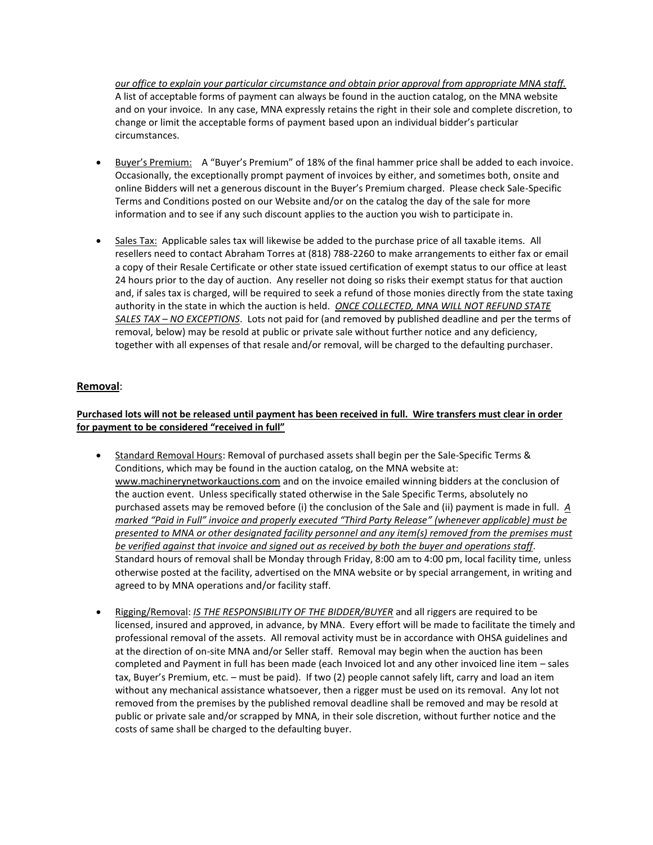*our office to explain your particular circumstance and obtain prior approval from appropriate MNA staff.* A list of acceptable forms of payment can always be found in the auction catalog, on the MNA website and on your invoice. In any case, MNA expressly retains the right in their sole and complete discretion, to change or limit the acceptable forms of payment based upon an individual bidder's particular circumstances.

- Buyer's Premium: A "Buyer's Premium" of 18% of the final hammer price shall be added to each invoice. Occasionally, the exceptionally prompt payment of invoices by either, and sometimes both, onsite and online Bidders will net a generous discount in the Buyer's Premium charged. Please check Sale-Specific Terms and Conditions posted on our Website and/or on the catalog the day of the sale for more information and to see if any such discount applies to the auction you wish to participate in.
- Sales Tax: Applicable sales tax will likewise be added to the purchase price of all taxable items. All resellers need to contact Abraham Torres at (818) 788-2260 to make arrangements to either fax or email a copy of their Resale Certificate or other state issued certification of exempt status to our office at least 24 hours prior to the day of auction. Any reseller not doing so risks their exempt status for that auction and, if sales tax is charged, will be required to seek a refund of those monies directly from the state taxing authority in the state in which the auction is held. *ONCE COLLECTED, MNA WILL NOT REFUND STATE SALES TAX – NO EXCEPTIONS*. Lots not paid for (and removed by published deadline and per the terms of removal, below) may be resold at public or private sale without further notice and any deficiency, together with all expenses of that resale and/or removal, will be charged to the defaulting purchaser.

## **Removal**:

### **Purchased lots will not be released until payment has been received in full. Wire transfers must clear in order for payment to be considered "received in full"**

- Standard Removal Hours: Removal of purchased assets shall begin per the Sale-Specific Terms & Conditions, which may be found in the auction catalog, on the MNA website at: [www.machinerynetworkauctions.com](http://www.machinerynetworkauctions.com/) and on the invoice emailed winning bidders at the conclusion of the auction event. Unless specifically stated otherwise in the Sale Specific Terms, absolutely no purchased assets may be removed before (i) the conclusion of the Sale and (ii) payment is made in full. *A marked "Paid in Full" invoice and properly executed "Third Party Release" (whenever applicable) must be presented to MNA or other designated facility personnel and any item(s) removed from the premises must be verified against that invoice and signed out as received by both the buyer and operations staff*. Standard hours of removal shall be Monday through Friday, 8:00 am to 4:00 pm, local facility time, unless otherwise posted at the facility, advertised on the MNA website or by special arrangement, in writing and agreed to by MNA operations and/or facility staff.
- Rigging/Removal: *IS THE RESPONSIBILITY OF THE BIDDER/BUYER* and all riggers are required to be licensed, insured and approved, in advance, by MNA. Every effort will be made to facilitate the timely and professional removal of the assets. All removal activity must be in accordance with OHSA guidelines and at the direction of on-site MNA and/or Seller staff. Removal may begin when the auction has been completed and Payment in full has been made (each Invoiced lot and any other invoiced line item – sales tax, Buyer's Premium, etc. – must be paid). If two (2) people cannot safely lift, carry and load an item without any mechanical assistance whatsoever, then a rigger must be used on its removal. Any lot not removed from the premises by the published removal deadline shall be removed and may be resold at public or private sale and/or scrapped by MNA, in their sole discretion, without further notice and the costs of same shall be charged to the defaulting buyer.